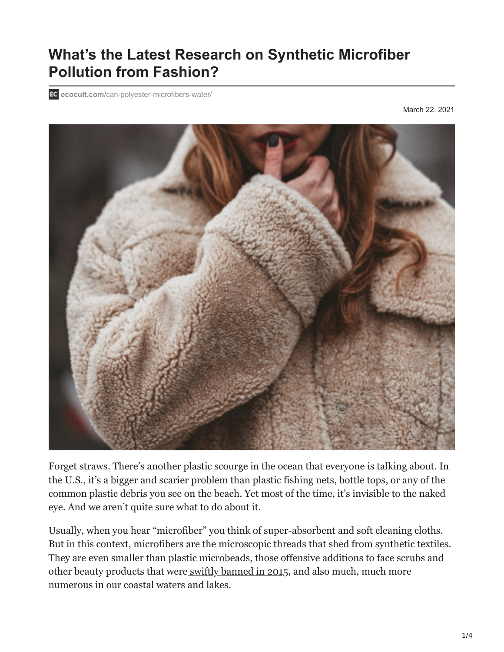# **What's the Latest Research on Synthetic Microfiber Pollution from Fashion?**

**ecocult.com**[/can-polyester-microfibers-water/](https://ecocult.com/can-polyester-microfibers-water/)

March 22, 2021



Forget straws. There's another plastic scourge in the ocean that everyone is talking about. In the U.S., it's a bigger and scarier problem than plastic fishing nets, bottle tops, or any of the common plastic debris you see on the beach. Yet most of the time, it's invisible to the naked eye. And we aren't quite sure what to do about it.

Usually, when you hear "microfiber" you think of super-absorbent and soft cleaning cloths. But in this context, microfibers are the microscopic threads that shed from synthetic textiles. They are even smaller than plastic microbeads, those offensive additions to face scrubs and other beauty products that were [swiftly banned in 2015](https://www.cnn.com/2015/12/30/health/obama-bans-microbeads/index.html), and also much, much more numerous in our coastal waters and lakes.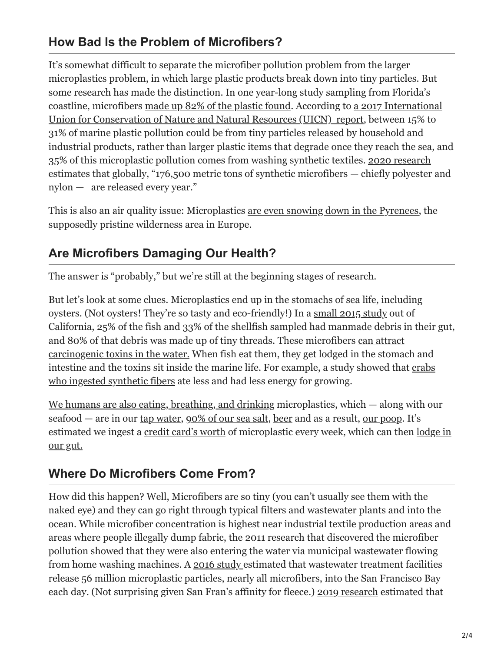### **How Bad Is the Problem of Microfibers?**

It's somewhat difficult to separate the microfiber pollution problem from the larger microplastics problem, in which large plastic products break down into tiny particles. But some research has made the distinction. In one year-long study sampling from Florida's [coastline, microfibers](https://portals.iucn.org/library/node/46622) [made up 82% of the plastic foun](https://www.usnews.com/news/best-states/alabama/articles/2017-03-15/yoga-pants-cozy-clothes-may-be-key-source-of-sea-pollution)[d. According to a 2017 International](https://portals.iucn.org/library/node/46622) Union for Conservation of Nature and Natural Resources (UICN) report, between 15% to 31% of marine plastic pollution could be from tiny particles released by household and industrial products, rather than larger plastic items that degrade once they reach the sea, and 35% of this microplastic pollution comes from washing synthetic textiles. [2020 research](https://www.eurekalert.org/pub_releases/2020-09/p-scf090920.php) estimates that globally, "176,500 metric tons of synthetic microfibers — chiefly polyester and nylon — are released every year."

This is also an air quality issue: Microplastics [are even snowing down in the Pyrenees](https://www.pri.org/stories/2019-04-26/microplastics-have-even-been-blown-remote-corner-pyrenees), the supposedly pristine wilderness area in Europe.

### **Are Microfibers Damaging Our Health?**

The answer is "probably," but we're still at the beginning stages of research.

But let's look at some clues. Microplastics [end up in the stomachs of sea life,](https://www.usnews.com/news/best-states/alabama/articles/2017-03-15/yoga-pants-cozy-clothes-may-be-key-source-of-sea-pollution) including oysters. (Not oysters! They're so tasty and eco-friendly!) In a [small 2015 study](https://www.nature.com/articles/srep14340) out of California, 25% of the fish and 33% of the shellfish sampled had manmade debris in their gut, [and 80% of that debris was made up of tiny threads. These microfibers can attract](https://ensia.com/features/microfiber-impacts/) carcinogenic toxins in the water. When fish eat them, they get lodged in the stomach and [intestine and the toxins sit inside the marine life. For example, a study showed that crabs](http://pubs.acs.org/doi/abs/10.1021/acs.est.5b04026?journalCode=esthag&) who ingested synthetic fibers ate less and had less energy for growing.

[We humans are also eating, breathing, and drinking](https://www.youtube.com/watch?v=Bbg0L7JN15U) microplastics, which — along with our seafood — are in our [tap water,](https://www.theguardian.com/environment/2017/sep/06/plastic-fibres-found-tap-water-around-world-study-reveals) [90% of our sea salt](https://www.nationalgeographic.com/environment/2018/10/microplastics-found-90-percent-table-salt-sea-salt/), [beer](https://www.popsci.com/article/science/plastic-microparticles-found-beers/) and as a result, [our poop](https://sourcingjournal.com/topics/sustainability/microplastics-human-stool-startfish-125432/). It's [estimated we ingest a c](https://www.youtube.com/watch?v=Bbg0L7JN15U)[redit card's wort](https://www.cnn.com/2019/06/11/health/microplastics-ingestion-wwf-study-scn-intl/index.html)[h of microplastic every week, which can then lodge in](https://www.youtube.com/watch?v=Bbg0L7JN15U) our gut.

### **Where Do Microfibers Come From?**

How did this happen? Well, Microfibers are so tiny (you can't usually see them with the naked eye) and they can go right through typical filters and wastewater plants and into the ocean. While microfiber concentration is highest near industrial textile production areas and areas where people illegally dump fabric, the 2011 research that discovered the microfiber pollution showed that they were also entering the water via municipal wastewater flowing from home washing machines. A [2016 study e](https://www.researchgate.net/publication/303915738_Microplastic_contamination_in_the_San_Francisco_Bay_California_USA)stimated that wastewater treatment facilities release 56 million microplastic particles, nearly all microfibers, into the San Francisco Bay each day. (Not surprising given San Fran's affinity for fleece.) [2019 research](https://www.nature.org/en-us/newsroom/california-microplastics/) estimated that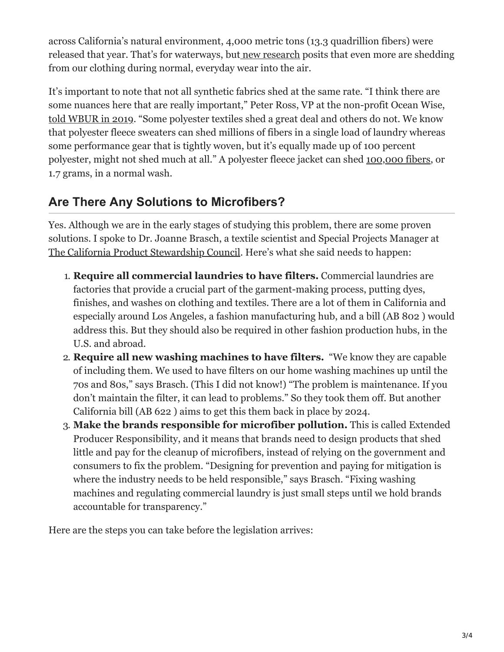across California's natural environment, 4,000 metric tons (13.3 quadrillion fibers) were released that year. That's for waterways, but [new research](https://www.sciencedaily.com/releases/2020/03/200309221340.htm) posits that even more are shedding from our clothing during normal, everyday wear into the air.

It's important to note that not all synthetic fabrics shed at the same rate. "I think there are some nuances here that are really important," Peter Ross, VP at the non-profit Ocean Wise, [told WBUR in 2019](https://www.wbur.org/hereandnow/2019/08/28/microfiber-pollution-ocean). "Some polyester textiles shed a great deal and others do not. We know that polyester fleece sweaters can shed millions of fibers in a single load of laundry whereas some performance gear that is tightly woven, but it's equally made up of 100 percent polyester, might not shed much at all." A polyester fleece jacket can shed [100,000 fibers,](http://www.news.ucsb.edu/2017/018046/below-surface) or 1.7 grams, in a normal wash.

## **Are There Any Solutions to Microfibers?**

Yes. Although we are in the early stages of studying this problem, there are some proven solutions. I spoke to Dr. Joanne Brasch, a textile scientist and Special Projects Manager at [The California Product Stewardship Council.](https://www.calpsc.org/) Here's what she said needs to happen:

- 1. **Require all commercial laundries to have filters.** Commercial laundries are factories that provide a crucial part of the garment-making process, putting dyes, finishes, and washes on clothing and textiles. There are a lot of them in California and especially around Los Angeles, a fashion manufacturing hub, and a bill (AB 802 ) would address this. But they should also be required in other fashion production hubs, in the U.S. and abroad.
- 2. **Require all new washing machines to have filters.** "We know they are capable of including them. We used to have filters on our home washing machines up until the 70s and 80s," says Brasch. (This I did not know!) "The problem is maintenance. If you don't maintain the filter, it can lead to problems." So they took them off. But another California bill (AB 622 ) aims to get this them back in place by 2024.
- 3. **Make the brands responsible for microfiber pollution.** This is called Extended Producer Responsibility, and it means that brands need to design products that shed little and pay for the cleanup of microfibers, instead of relying on the government and consumers to fix the problem. "Designing for prevention and paying for mitigation is where the industry needs to be held responsible," says Brasch. "Fixing washing machines and regulating commercial laundry is just small steps until we hold brands accountable for transparency."

Here are the steps you can take before the legislation arrives: